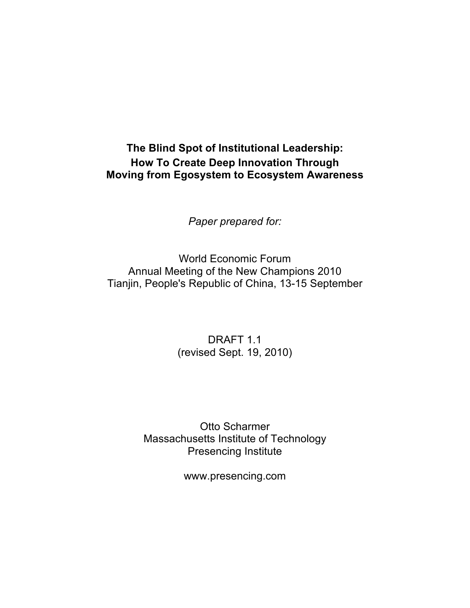#### **The Blind Spot of Institutional Leadership: How To Create Deep Innovation Through Moving from Egosystem to Ecosystem Awareness**

*Paper prepared for:*

World Economic Forum Annual Meeting of the New Champions 2010 Tianjin, People's Republic of China, 13-15 September

> DRAFT 1.1 (revised Sept. 19, 2010)

Otto Scharmer Massachusetts Institute of Technology Presencing Institute

www.presencing.com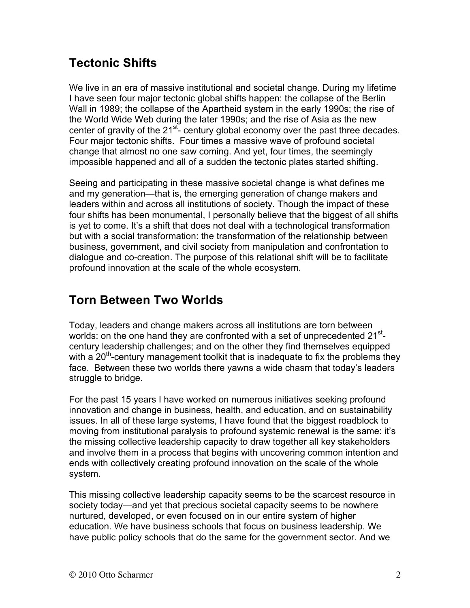## **Tectonic Shifts**

We live in an era of massive institutional and societal change. During my lifetime I have seen four major tectonic global shifts happen: the collapse of the Berlin Wall in 1989; the collapse of the Apartheid system in the early 1990s; the rise of the World Wide Web during the later 1990s; and the rise of Asia as the new center of gravity of the  $21^{st}$ - century global economy over the past three decades. Four major tectonic shifts. Four times a massive wave of profound societal change that almost no one saw coming. And yet, four times, the seemingly impossible happened and all of a sudden the tectonic plates started shifting.

Seeing and participating in these massive societal change is what defines me and my generation—that is, the emerging generation of change makers and leaders within and across all institutions of society. Though the impact of these four shifts has been monumental, I personally believe that the biggest of all shifts is yet to come. It's a shift that does not deal with a technological transformation but with a social transformation: the transformation of the relationship between business, government, and civil society from manipulation and confrontation to dialogue and co-creation. The purpose of this relational shift will be to facilitate profound innovation at the scale of the whole ecosystem.

## **Torn Between Two Worlds**

Today, leaders and change makers across all institutions are torn between worlds: on the one hand they are confronted with a set of unprecedented 21<sup>st</sup>century leadership challenges; and on the other they find themselves equipped with a  $20<sup>th</sup>$ -century management toolkit that is inadequate to fix the problems they face. Between these two worlds there yawns a wide chasm that today's leaders struggle to bridge.

For the past 15 years I have worked on numerous initiatives seeking profound innovation and change in business, health, and education, and on sustainability issues. In all of these large systems, I have found that the biggest roadblock to moving from institutional paralysis to profound systemic renewal is the same: it's the missing collective leadership capacity to draw together all key stakeholders and involve them in a process that begins with uncovering common intention and ends with collectively creating profound innovation on the scale of the whole system.

This missing collective leadership capacity seems to be the scarcest resource in society today—and yet that precious societal capacity seems to be nowhere nurtured, developed, or even focused on in our entire system of higher education. We have business schools that focus on business leadership. We have public policy schools that do the same for the government sector. And we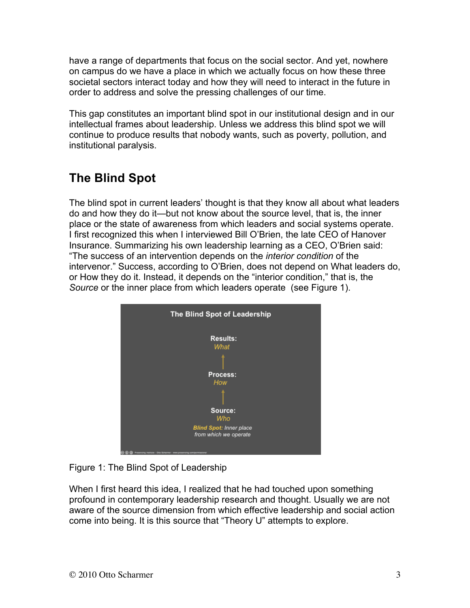have a range of departments that focus on the social sector. And yet, nowhere on campus do we have a place in which we actually focus on how these three societal sectors interact today and how they will need to interact in the future in order to address and solve the pressing challenges of our time.

This gap constitutes an important blind spot in our institutional design and in our intellectual frames about leadership. Unless we address this blind spot we will continue to produce results that nobody wants, such as poverty, pollution, and institutional paralysis.

# **The Blind Spot**

The blind spot in current leaders' thought is that they know all about what leaders do and how they do it—but not know about the source level, that is, the inner place or the state of awareness from which leaders and social systems operate. I first recognized this when I interviewed Bill O'Brien, the late CEO of Hanover Insurance. Summarizing his own leadership learning as a CEO, O'Brien said: "The success of an intervention depends on the *interior condition* of the intervenor." Success, according to O'Brien, does not depend on What leaders do, or How they do it. Instead, it depends on the "interior condition," that is, the *Source* or the inner place from which leaders operate (see Figure 1).



Figure 1: The Blind Spot of Leadership

When I first heard this idea, I realized that he had touched upon something profound in contemporary leadership research and thought. Usually we are not aware of the source dimension from which effective leadership and social action come into being. It is this source that "Theory U" attempts to explore.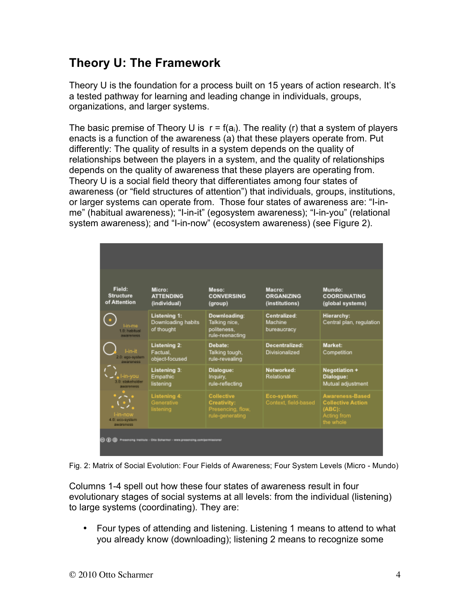## **Theory U: The Framework**

Theory U is the foundation for a process built on 15 years of action research. It's a tested pathway for learning and leading change in individuals, groups, organizations, and larger systems.

The basic premise of Theory U is  $r = f(a_i)$ . The reality (r) that a system of players enacts is a function of the awareness (a) that these players operate from. Put differently: The quality of results in a system depends on the quality of relationships between the players in a system, and the quality of relationships depends on the quality of awareness that these players are operating from. Theory U is a social field theory that differentiates among four states of awareness (or "field structures of attention") that individuals, groups, institutions, or larger systems can operate from. Those four states of awareness are: "I-inme" (habitual awareness); "I-in-it" (egosystem awareness); "I-in-you" (relational system awareness); and "I-in-now" (ecosystem awareness) (see Figure 2).

| Field:<br><b>Structure</b><br>of Attention | Micro:<br><b>ATTENDING</b><br>(individual)         | Meso:<br><b>CONVERSING</b><br>(group)                                           | Macro:<br><b>ORGANIZING</b><br>(institutions) | Mundo:<br><b>COORDINATING</b><br>(global systems)                                        |
|--------------------------------------------|----------------------------------------------------|---------------------------------------------------------------------------------|-----------------------------------------------|------------------------------------------------------------------------------------------|
| Hn-me<br>1.0: habitual<br>awareness.       | Listening 1:<br>Downloading habits<br>of thought   | Downloading:<br>Talking nice,<br>politeness.<br>rule-reenacting                 | Centralized:<br>Machine<br>bureaucracy        | Hierarchy:<br>Central plan, regulation                                                   |
| I-in-it<br>2.0: ego-system<br>amareness    | Listening 2:<br>Factual.<br>object-focused         | Debate:<br>Talking tough,<br>rule-revealing                                     | Decentralized:<br>Divisionalized              | Market:<br>Competition                                                                   |
| l-in-you<br>3.0: stakeholder<br>awareness. | Listening 3:<br>Empathic<br>listening              | Dialogue:<br>Inquiry,<br>rule-reflecting                                        | Networked:<br>Relational                      | Negotiation +<br>Dialogue:<br>Mutual adjustment                                          |
| I-in-now<br>4.0: eco-system<br>awareness   | <b>Listening 4:</b><br>Generative<br>listening     | <b>Collective</b><br><b>Creativity:</b><br>Presencing, flow,<br>rule-generating | Eco-system:<br>Context, field-based           | <b>Awareness-Based</b><br><b>Collective Action</b><br>(ABC):<br>Acting from<br>the whole |
| ◎ ① ◎                                      | Presencing Institute - Otto Schanner - www.presenc |                                                                                 |                                               |                                                                                          |

Fig. 2: Matrix of Social Evolution: Four Fields of Awareness; Four System Levels (Micro - Mundo)

Columns 1-4 spell out how these four states of awareness result in four evolutionary stages of social systems at all levels: from the individual (listening) to large systems (coordinating). They are:

• Four types of attending and listening. Listening 1 means to attend to what you already know (downloading); listening 2 means to recognize some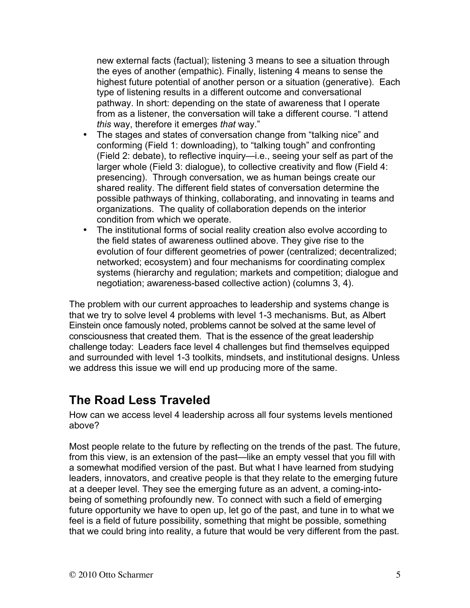new external facts (factual); listening 3 means to see a situation through the eyes of another (empathic). Finally, listening 4 means to sense the highest future potential of another person or a situation (generative). Each type of listening results in a different outcome and conversational pathway. In short: depending on the state of awareness that I operate from as a listener, the conversation will take a different course. "I attend *this* way, therefore it emerges *that* way."

- The stages and states of conversation change from "talking nice" and conforming (Field 1: downloading), to "talking tough" and confronting (Field 2: debate), to reflective inquiry—i.e., seeing your self as part of the larger whole (Field 3: dialogue), to collective creativity and flow (Field 4: presencing). Through conversation, we as human beings create our shared reality. The different field states of conversation determine the possible pathways of thinking, collaborating, and innovating in teams and organizations. The quality of collaboration depends on the interior condition from which we operate.
- The institutional forms of social reality creation also evolve according to the field states of awareness outlined above. They give rise to the evolution of four different geometries of power (centralized; decentralized; networked; ecosystem) and four mechanisms for coordinating complex systems (hierarchy and regulation; markets and competition; dialogue and negotiation; awareness-based collective action) (columns 3, 4).

The problem with our current approaches to leadership and systems change is that we try to solve level 4 problems with level 1-3 mechanisms. But, as Albert Einstein once famously noted, problems cannot be solved at the same level of consciousness that created them. That is the essence of the great leadership challenge today: Leaders face level 4 challenges but find themselves equipped and surrounded with level 1-3 toolkits, mindsets, and institutional designs. Unless we address this issue we will end up producing more of the same.

#### **The Road Less Traveled**

How can we access level 4 leadership across all four systems levels mentioned above?

Most people relate to the future by reflecting on the trends of the past. The future, from this view, is an extension of the past—like an empty vessel that you fill with a somewhat modified version of the past. But what I have learned from studying leaders, innovators, and creative people is that they relate to the emerging future at a deeper level. They see the emerging future as an advent, a coming-intobeing of something profoundly new. To connect with such a field of emerging future opportunity we have to open up, let go of the past, and tune in to what we feel is a field of future possibility, something that might be possible, something that we could bring into reality, a future that would be very different from the past.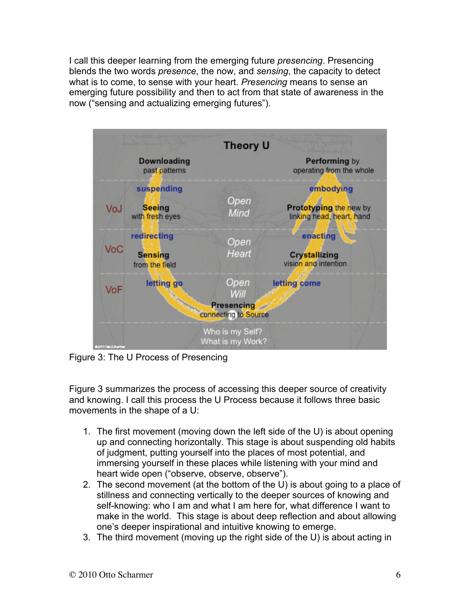I call this deeper learning from the emerging future *presencing*. Presencing blends the two words *presence*, the now, and *sensing*, the capacity to detect what is to come, to sense with your heart. *Presencing* means to sense an emerging future possibility and then to act from that state of awareness in the now ("sensing and actualizing emerging futures").



Figure 3: The U Process of Presencing

Figure 3 summarizes the process of accessing this deeper source of creativity and knowing. I call this process the U Process because it follows three basic movements in the shape of a U:

- 1. The first movement (moving down the left side of the U) is about opening up and connecting horizontally. This stage is about suspending old habits of judgment, putting yourself into the places of most potential, and immersing yourself in these places while listening with your mind and heart wide open ("observe, observe, observe").
- 2. The second movement (at the bottom of the U) is about going to a place of stillness and connecting vertically to the deeper sources of knowing and self-knowing: who I am and what I am here for, what difference I want to make in the world. This stage is about deep reflection and about allowing one's deeper inspirational and intuitive knowing to emerge.
- 3. The third movement (moving up the right side of the U) is about acting in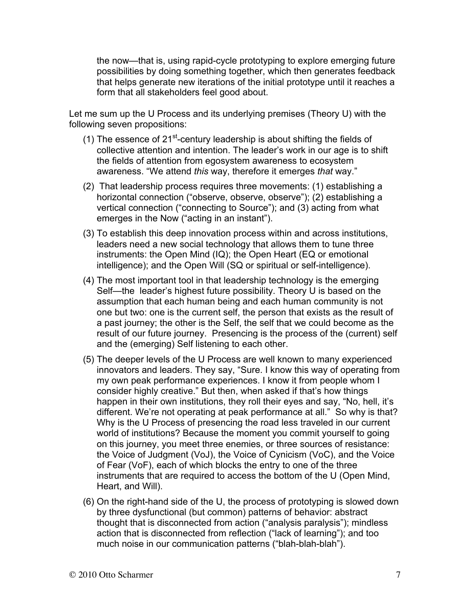the now—that is, using rapid-cycle prototyping to explore emerging future possibilities by doing something together, which then generates feedback that helps generate new iterations of the initial prototype until it reaches a form that all stakeholders feel good about.

Let me sum up the U Process and its underlying premises (Theory U) with the following seven propositions:

- (1) The essence of  $21^{st}$ -century leadership is about shifting the fields of collective attention and intention. The leader's work in our age is to shift the fields of attention from egosystem awareness to ecosystem awareness. "We attend *this* way, therefore it emerges *that* way."
- (2) That leadership process requires three movements: (1) establishing a horizontal connection ("observe, observe, observe"); (2) establishing a vertical connection ("connecting to Source"); and (3) acting from what emerges in the Now ("acting in an instant").
- (3) To establish this deep innovation process within and across institutions, leaders need a new social technology that allows them to tune three instruments: the Open Mind (IQ); the Open Heart (EQ or emotional intelligence); and the Open Will (SQ or spiritual or self-intelligence).
- (4) The most important tool in that leadership technology is the emerging Self—the leader's highest future possibility. Theory U is based on the assumption that each human being and each human community is not one but two: one is the current self, the person that exists as the result of a past journey; the other is the Self, the self that we could become as the result of our future journey. Presencing is the process of the (current) self and the (emerging) Self listening to each other.
- (5) The deeper levels of the U Process are well known to many experienced innovators and leaders. They say, "Sure. I know this way of operating from my own peak performance experiences. I know it from people whom I consider highly creative." But then, when asked if that's how things happen in their own institutions, they roll their eyes and say, "No, hell, it's different. We're not operating at peak performance at all." So why is that? Why is the U Process of presencing the road less traveled in our current world of institutions? Because the moment you commit yourself to going on this journey, you meet three enemies, or three sources of resistance: the Voice of Judgment (VoJ), the Voice of Cynicism (VoC), and the Voice of Fear (VoF), each of which blocks the entry to one of the three instruments that are required to access the bottom of the U (Open Mind, Heart, and Will).
- (6) On the right-hand side of the U, the process of prototyping is slowed down by three dysfunctional (but common) patterns of behavior: abstract thought that is disconnected from action ("analysis paralysis"); mindless action that is disconnected from reflection ("lack of learning"); and too much noise in our communication patterns ("blah-blah-blah").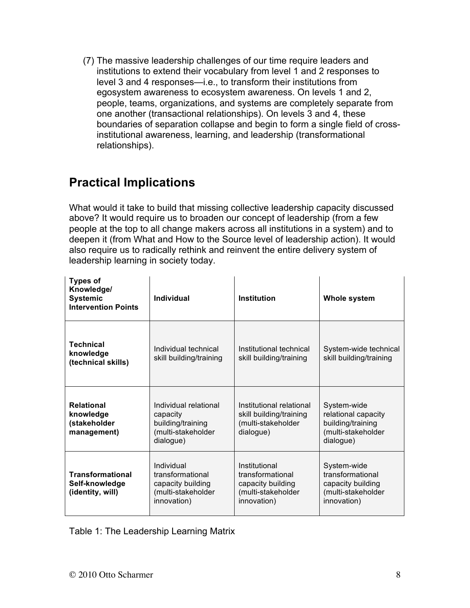(7) The massive leadership challenges of our time require leaders and institutions to extend their vocabulary from level 1 and 2 responses to level 3 and 4 responses—i.e., to transform their institutions from egosystem awareness to ecosystem awareness. On levels 1 and 2, people, teams, organizations, and systems are completely separate from one another (transactional relationships). On levels 3 and 4, these boundaries of separation collapse and begin to form a single field of crossinstitutional awareness, learning, and leadership (transformational relationships).

#### **Practical Implications**

What would it take to build that missing collective leadership capacity discussed above? It would require us to broaden our concept of leadership (from a few people at the top to all change makers across all institutions in a system) and to deepen it (from What and How to the Source level of leadership action). It would also require us to radically rethink and reinvent the entire delivery system of leadership learning in society today.

| <b>Types of</b><br>Knowledge/<br><b>Systemic</b><br><b>Intervention Points</b> | Individual                                                                                | <b>Institution</b>                                                                          | Whole system                                                                               |
|--------------------------------------------------------------------------------|-------------------------------------------------------------------------------------------|---------------------------------------------------------------------------------------------|--------------------------------------------------------------------------------------------|
| <b>Technical</b><br>knowledge<br>(technical skills)                            | Individual technical<br>skill building/training                                           | Institutional technical<br>skill building/training                                          | System-wide technical<br>skill building/training                                           |
| <b>Relational</b><br>knowledge<br>(stakeholder<br>management)                  | Individual relational<br>capacity<br>building/training<br>(multi-stakeholder<br>dialogue) | Institutional relational<br>skill building/training<br>(multi-stakeholder<br>dialogue)      | System-wide<br>relational capacity<br>building/training<br>(multi-stakeholder<br>dialogue) |
| <b>Transformational</b><br>Self-knowledge<br>(identity, will)                  | Individual<br>transformational<br>capacity building<br>(multi-stakeholder<br>innovation)  | Institutional<br>transformational<br>capacity building<br>(multi-stakeholder<br>innovation) | System-wide<br>transformational<br>capacity building<br>(multi-stakeholder<br>innovation)  |

Table 1: The Leadership Learning Matrix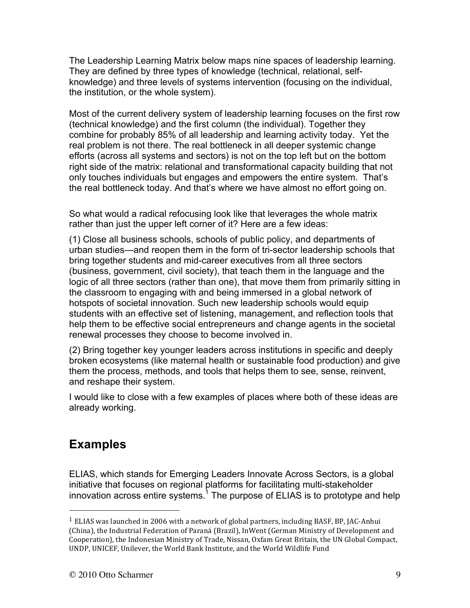The Leadership Learning Matrix below maps nine spaces of leadership learning. They are defined by three types of knowledge (technical, relational, selfknowledge) and three levels of systems intervention (focusing on the individual, the institution, or the whole system).

Most of the current delivery system of leadership learning focuses on the first row (technical knowledge) and the first column (the individual). Together they combine for probably 85% of all leadership and learning activity today. Yet the real problem is not there. The real bottleneck in all deeper systemic change efforts (across all systems and sectors) is not on the top left but on the bottom right side of the matrix: relational and transformational capacity building that not only touches individuals but engages and empowers the entire system. That's the real bottleneck today. And that's where we have almost no effort going on.

So what would a radical refocusing look like that leverages the whole matrix rather than just the upper left corner of it? Here are a few ideas:

(1) Close all business schools, schools of public policy, and departments of urban studies—and reopen them in the form of tri-sector leadership schools that bring together students and mid-career executives from all three sectors (business, government, civil society), that teach them in the language and the logic of all three sectors (rather than one), that move them from primarily sitting in the classroom to engaging with and being immersed in a global network of hotspots of societal innovation. Such new leadership schools would equip students with an effective set of listening, management, and reflection tools that help them to be effective social entrepreneurs and change agents in the societal renewal processes they choose to become involved in.

(2) Bring together key younger leaders across institutions in specific and deeply broken ecosystems (like maternal health or sustainable food production) and give them the process, methods, and tools that helps them to see, sense, reinvent, and reshape their system.

I would like to close with a few examples of places where both of these ideas are already working.

## **Examples**

 $\overline{a}$ 

ELIAS, which stands for Emerging Leaders Innovate Across Sectors, is a global initiative that focuses on regional platforms for facilitating multi-stakeholder innovation across entire systems.<sup>1</sup> The purpose of ELIAS is to prototype and help

 $<sup>1</sup>$  ELIAS was launched in 2006 with a network of global partners, including BASF, BP, JAC-Anhui</sup> (China), the Industrial Federation of Paraná (Brazil), InWent (German Ministry of Development and Cooperation), the Indonesian Ministry of Trade, Nissan, Oxfam Great Britain, the UN Global Compact, UNDP, UNICEF, Unilever, the World Bank Institute, and the World Wildlife Fund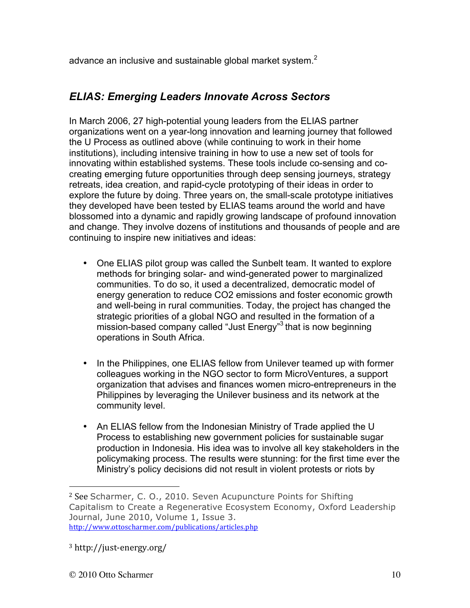advance an inclusive and sustainable global market system. $<sup>2</sup>$ </sup>

#### *ELIAS: Emerging Leaders Innovate Across Sectors*

In March 2006, 27 high-potential young leaders from the ELIAS partner organizations went on a year-long innovation and learning journey that followed the U Process as outlined above (while continuing to work in their home institutions), including intensive training in how to use a new set of tools for innovating within established systems. These tools include co-sensing and cocreating emerging future opportunities through deep sensing journeys, strategy retreats, idea creation, and rapid-cycle prototyping of their ideas in order to explore the future by doing. Three years on, the small-scale prototype initiatives they developed have been tested by ELIAS teams around the world and have blossomed into a dynamic and rapidly growing landscape of profound innovation and change. They involve dozens of institutions and thousands of people and are continuing to inspire new initiatives and ideas:

- One ELIAS pilot group was called the Sunbelt team. It wanted to explore methods for bringing solar- and wind-generated power to marginalized communities. To do so, it used a decentralized, democratic model of energy generation to reduce CO2 emissions and foster economic growth and well-being in rural communities. Today, the project has changed the strategic priorities of a global NGO and resulted in the formation of a mission-based company called "Just Energy"<sup>3</sup> that is now beginning operations in South Africa.
- In the Philippines, one ELIAS fellow from Unilever teamed up with former colleagues working in the NGO sector to form MicroVentures, a support organization that advises and finances women micro-entrepreneurs in the Philippines by leveraging the Unilever business and its network at the community level.
- An ELIAS fellow from the Indonesian Ministry of Trade applied the U Process to establishing new government policies for sustainable sugar production in Indonesia. His idea was to involve all key stakeholders in the policymaking process. The results were stunning: for the first time ever the Ministry's policy decisions did not result in violent protests or riots by

 $3$  http://just-energy.org/

 $\overline{a}$ 

 $2$  See Scharmer, C. O., 2010. Seven Acupuncture Points for Shifting Capitalism to Create a Regenerative Ecosystem Economy, Oxford Leadership Journal, June 2010, Volume 1, Issue 3. http://www.ottoscharmer.com/publications/articles.php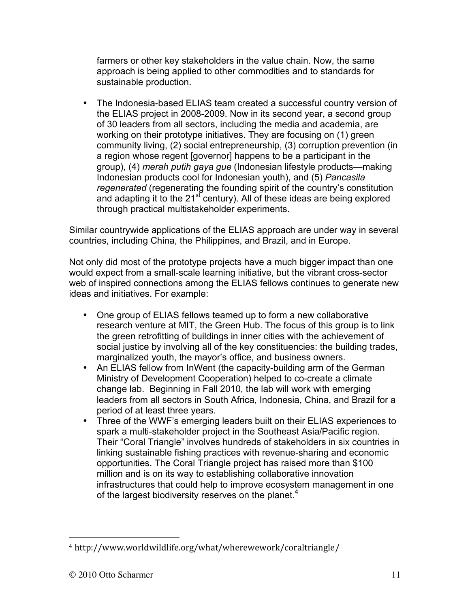farmers or other key stakeholders in the value chain. Now, the same approach is being applied to other commodities and to standards for sustainable production.

• The Indonesia-based ELIAS team created a successful country version of the ELIAS project in 2008-2009. Now in its second year, a second group of 30 leaders from all sectors, including the media and academia, are working on their prototype initiatives. They are focusing on (1) green community living, (2) social entrepreneurship, (3) corruption prevention (in a region whose regent [governor] happens to be a participant in the group), (4) *merah putih gaya gue* (Indonesian lifestyle products—making Indonesian products cool for Indonesian youth), and (5) *Pancasila regenerated* (regenerating the founding spirit of the country's constitution and adapting it to the  $21<sup>st</sup>$  century). All of these ideas are being explored through practical multistakeholder experiments.

Similar countrywide applications of the ELIAS approach are under way in several countries, including China, the Philippines, and Brazil, and in Europe.

Not only did most of the prototype projects have a much bigger impact than one would expect from a small-scale learning initiative, but the vibrant cross-sector web of inspired connections among the ELIAS fellows continues to generate new ideas and initiatives. For example:

- One group of ELIAS fellows teamed up to form a new collaborative research venture at MIT, the Green Hub. The focus of this group is to link the green retrofitting of buildings in inner cities with the achievement of social justice by involving all of the key constituencies: the building trades, marginalized youth, the mayor's office, and business owners.
- An ELIAS fellow from InWent (the capacity-building arm of the German Ministry of Development Cooperation) helped to co-create a climate change lab. Beginning in Fall 2010, the lab will work with emerging leaders from all sectors in South Africa, Indonesia, China, and Brazil for a period of at least three years.
- Three of the WWF's emerging leaders built on their ELIAS experiences to spark a multi-stakeholder project in the Southeast Asia/Pacific region. Their "Coral Triangle" involves hundreds of stakeholders in six countries in linking sustainable fishing practices with revenue-sharing and economic opportunities. The Coral Triangle project has raised more than \$100 million and is on its way to establishing collaborative innovation infrastructures that could help to improve ecosystem management in one of the largest biodiversity reserves on the planet.<sup>4</sup>

 $\overline{a}$ <sup>4</sup> http://www.worldwildlife.org/what/wherewework/coraltriangle/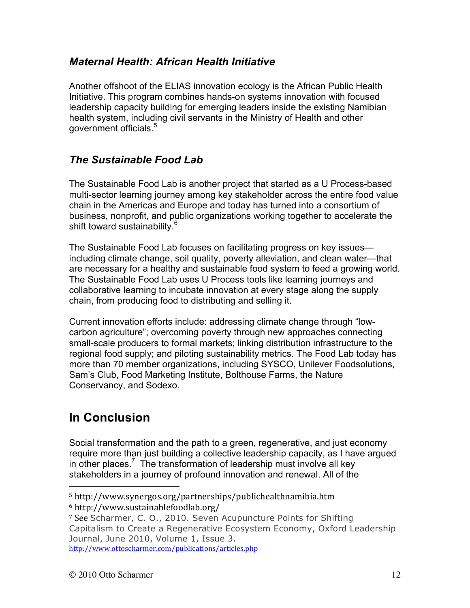#### *Maternal Health: African Health Initiative*

Another offshoot of the ELIAS innovation ecology is the African Public Health Initiative. This program combines hands-on systems innovation with focused leadership capacity building for emerging leaders inside the existing Namibian health system, including civil servants in the Ministry of Health and other government officials.<sup>5</sup>

#### *The Sustainable Food Lab*

The Sustainable Food Lab is another project that started as a U Process-based multi-sector learning journey among key stakeholder across the entire food value chain in the Americas and Europe and today has turned into a consortium of business, nonprofit, and public organizations working together to accelerate the shift toward sustainability.<sup>6</sup>

The Sustainable Food Lab focuses on facilitating progress on key issues including climate change, soil quality, poverty alleviation, and clean water—that are necessary for a healthy and sustainable food system to feed a growing world. The Sustainable Food Lab uses U Process tools like learning journeys and collaborative learning to incubate innovation at every stage along the supply chain, from producing food to distributing and selling it.

Current innovation efforts include: addressing climate change through "lowcarbon agriculture"; overcoming poverty through new approaches connecting small-scale producers to formal markets; linking distribution infrastructure to the regional food supply; and piloting sustainability metrics. The Food Lab today has more than 70 member organizations, including SYSCO, Unilever Foodsolutions, Sam's Club, Food Marketing Institute, Bolthouse Farms, the Nature Conservancy, and Sodexo.

## **In Conclusion**

 $\overline{a}$ 

Social transformation and the path to a green, regenerative, and just economy require more than just building a collective leadership capacity, as I have argued in other places.<sup>7</sup> The transformation of leadership must involve all key stakeholders in a journey of profound innovation and renewal. All of the

<sup>5</sup> http://www.synergos.org/partnerships/publichealthnamibia.htm

<sup>6</sup> http://www.sustainablefoodlab.org/

<sup>&</sup>lt;sup>7</sup> See Scharmer, C. O., 2010. Seven Acupuncture Points for Shifting Capitalism to Create a Regenerative Ecosystem Economy, Oxford Leadership Journal, June 2010, Volume 1, Issue 3. http://www.ottoscharmer.com/publications/articles.php